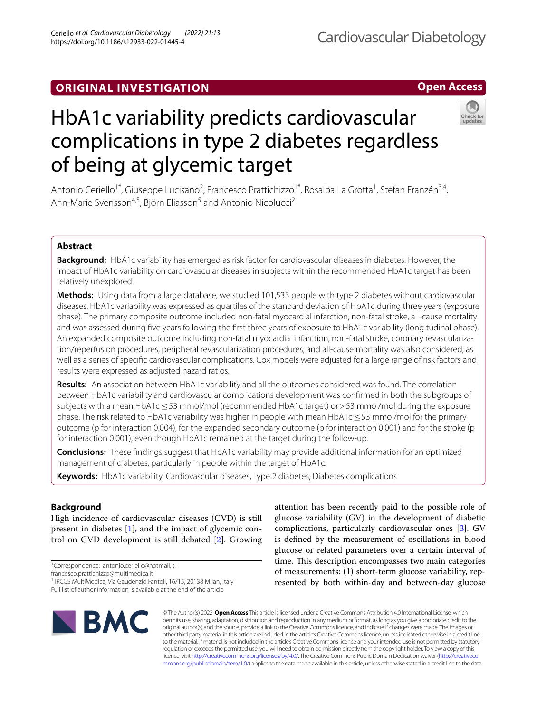# **ORIGINAL INVESTIGATION**

# HbA1c variability predicts cardiovascular complications in type 2 diabetes regardless of being at glycemic target

Antonio Ceriello<sup>1\*</sup>, Giuseppe Lucisano<sup>2</sup>, Francesco Prattichizzo<sup>1\*</sup>, Rosalba La Grotta<sup>1</sup>, Stefan Franzén<sup>3,4</sup>, Ann-Marie Svensson<sup>4,5</sup>, Björn Eliasson<sup>5</sup> and Antonio Nicolucci<sup>2</sup>

# **Abstract**

**Background:** HbA1c variability has emerged as risk factor for cardiovascular diseases in diabetes. However, the impact of HbA1c variability on cardiovascular diseases in subjects within the recommended HbA1c target has been relatively unexplored.

**Methods:** Using data from a large database, we studied 101,533 people with type 2 diabetes without cardiovascular diseases. HbA1c variability was expressed as quartiles of the standard deviation of HbA1c during three years (exposure phase). The primary composite outcome included non-fatal myocardial infarction, non-fatal stroke, all-cause mortality and was assessed during fve years following the frst three years of exposure to HbA1c variability (longitudinal phase). An expanded composite outcome including non-fatal myocardial infarction, non-fatal stroke, coronary revascularization/reperfusion procedures, peripheral revascularization procedures, and all-cause mortality was also considered, as well as a series of specifc cardiovascular complications. Cox models were adjusted for a large range of risk factors and results were expressed as adjusted hazard ratios.

**Results:** An association between HbA1c variability and all the outcomes considered was found. The correlation between HbA1c variability and cardiovascular complications development was confrmed in both the subgroups of subjects with a mean HbA1c < 53 mmol/mol (recommended HbA1c target) or > 53 mmol/mol during the exposure phase. The risk related to HbA1c variability was higher in people with mean HbA1c ≤ 53 mmol/mol for the primary outcome (p for interaction 0.004), for the expanded secondary outcome (p for interaction 0.001) and for the stroke (p for interaction 0.001), even though HbA1c remained at the target during the follow-up.

**Conclusions:** These fndings suggest that HbA1c variability may provide additional information for an optimized management of diabetes, particularly in people within the target of HbA1c.

**Keywords:** HbA1c variability, Cardiovascular diseases, Type 2 diabetes, Diabetes complications

**Background**

High incidence of cardiovascular diseases (CVD) is still present in diabetes [[1\]](#page-7-0), and the impact of glycemic control on CVD development is still debated [\[2](#page-7-1)]. Growing

\*Correspondence: antonio.ceriello@hotmail.it;

francesco.prattichizzo@multimedica.it

<sup>1</sup> IRCCS MultiMedica, Via Gaudenzio Fantoli, 16/15, 20138 Milan, Italy

© The Author(s) 2022. **Open Access** This article is licensed under a Creative Commons Attribution 4.0 International License, which permits use, sharing, adaptation, distribution and reproduction in any medium or format, as long as you give appropriate credit to the original author(s) and the source, provide a link to the Creative Commons licence, and indicate if changes were made. The images or other third party material in this article are included in the article's Creative Commons licence, unless indicated otherwise in a credit line to the material. If material is not included in the article's Creative Commons licence and your intended use is not permitted by statutory regulation or exceeds the permitted use, you will need to obtain permission directly from the copyright holder. To view a copy of this licence, visit [http://creativecommons.org/licenses/by/4.0/.](http://creativecommons.org/licenses/by/4.0/) The Creative Commons Public Domain Dedication waiver ([http://creativeco](http://creativecommons.org/publicdomain/zero/1.0/) [mmons.org/publicdomain/zero/1.0/](http://creativecommons.org/publicdomain/zero/1.0/)) applies to the data made available in this article, unless otherwise stated in a credit line to the data.

attention has been recently paid to the possible role of glucose variability (GV) in the development of diabetic complications, particularly cardiovascular ones [[3\]](#page-7-2). GV is defned by the measurement of oscillations in blood glucose or related parameters over a certain interval of time. This description encompasses two main categories of measurements: (1) short-term glucose variability, represented by both within-day and between-day glucose

# **Open Access**





Full list of author information is available at the end of the article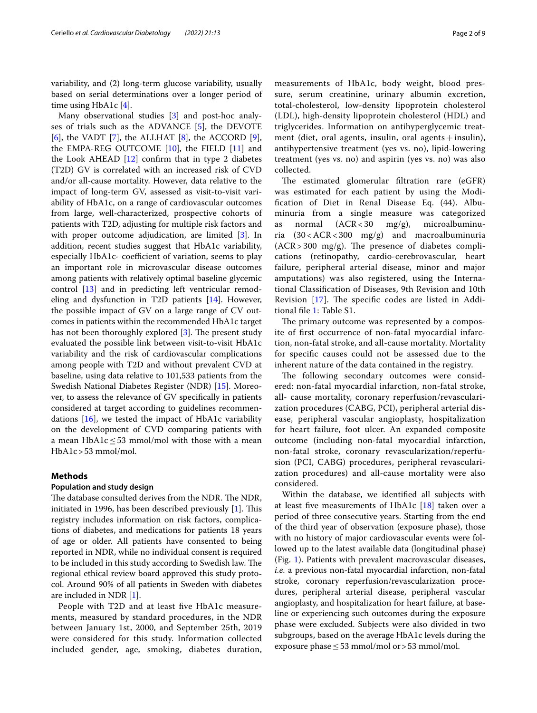variability, and (2) long-term glucose variability, usually based on serial determinations over a longer period of time using HbA1c [\[4](#page-7-3)].

Many observational studies [[3\]](#page-7-2) and post-hoc analyses of trials such as the ADVANCE [\[5](#page-7-4)], the DEVOTE [[6\]](#page-7-5), the VADT [\[7](#page-7-6)], the ALLHAT [[8\]](#page-7-7), the ACCORD [\[9](#page-7-8)], the EMPA-REG OUTCOME [\[10](#page-7-9)], the FIELD [[11\]](#page-7-10) and the Look AHEAD [\[12](#page-7-11)] confrm that in type 2 diabetes (T2D) GV is correlated with an increased risk of CVD and/or all-cause mortality. However, data relative to the impact of long-term GV, assessed as visit-to-visit variability of HbA1c, on a range of cardiovascular outcomes from large, well-characterized, prospective cohorts of patients with T2D, adjusting for multiple risk factors and with proper outcome adjudication, are limited [\[3](#page-7-2)]. In addition, recent studies suggest that HbA1c variability, especially HbA1c- coefficient of variation, seems to play an important role in microvascular disease outcomes among patients with relatively optimal baseline glycemic control [\[13](#page-8-0)] and in predicting left ventricular remodeling and dysfunction in T2D patients [[14\]](#page-8-1). However, the possible impact of GV on a large range of CV outcomes in patients within the recommended HbA1c target has not been thoroughly explored  $[3]$  $[3]$ . The present study evaluated the possible link between visit-to-visit HbA1c variability and the risk of cardiovascular complications among people with T2D and without prevalent CVD at baseline, using data relative to 101,533 patients from the Swedish National Diabetes Register (NDR) [[15\]](#page-8-2). Moreover, to assess the relevance of GV specifcally in patients considered at target according to guidelines recommendations [[16](#page-8-3)], we tested the impact of HbA1c variability on the development of CVD comparing patients with a mean HbA1c  $\leq$  53 mmol/mol with those with a mean HbA1c>53 mmol/mol.

# **Methods**

## **Population and study design**

The database consulted derives from the NDR. The NDR, initiated in 1996, has been described previously  $[1]$  $[1]$ . This registry includes information on risk factors, complications of diabetes, and medications for patients 18 years of age or older. All patients have consented to being reported in NDR, while no individual consent is required to be included in this study according to Swedish law. The regional ethical review board approved this study protocol. Around 90% of all patients in Sweden with diabetes are included in NDR [\[1](#page-7-0)].

People with T2D and at least fve HbA1c measurements, measured by standard procedures, in the NDR between January 1st, 2000, and September 25th, 2019 were considered for this study. Information collected included gender, age, smoking, diabetes duration, measurements of HbA1c, body weight, blood pressure, serum creatinine, urinary albumin excretion, total-cholesterol, low-density lipoprotein cholesterol (LDL), high-density lipoprotein cholesterol (HDL) and triglycerides. Information on antihyperglycemic treatment (diet, oral agents, insulin, oral agents + insulin), antihypertensive treatment (yes vs. no), lipid-lowering treatment (yes vs. no) and aspirin (yes vs. no) was also collected.

The estimated glomerular filtration rare (eGFR) was estimated for each patient by using the Modifcation of Diet in Renal Disease Eq. (44). Albuminuria from a single measure was categorized as normal (ACR< 30 mg/g), microalbuminuria (30 < ACR< 300 mg/g) and macroalbuminuria  $(ACR > 300 \, \text{mg/g})$ . The presence of diabetes complications (retinopathy, cardio-cerebrovascular, heart failure, peripheral arterial disease, minor and major amputations) was also registered, using the International Classifcation of Diseases, 9th Revision and 10th Revision  $[17]$  $[17]$  $[17]$ . The specific codes are listed in Additional fle [1:](#page-7-12) Table S1.

The primary outcome was represented by a composite of frst occurrence of non-fatal myocardial infarction, non-fatal stroke, and all-cause mortality. Mortality for specifc causes could not be assessed due to the inherent nature of the data contained in the registry.

The following secondary outcomes were considered: non-fatal myocardial infarction, non-fatal stroke, all- cause mortality, coronary reperfusion/revascularization procedures (CABG, PCI), peripheral arterial disease, peripheral vascular angioplasty, hospitalization for heart failure, foot ulcer. An expanded composite outcome (including non-fatal myocardial infarction, non-fatal stroke, coronary revascularization/reperfusion (PCI, CABG) procedures, peripheral revascularization procedures) and all-cause mortality were also considered.

Within the database, we identifed all subjects with at least five measurements of HbA1c  $[18]$  $[18]$  taken over a period of three consecutive years. Starting from the end of the third year of observation (exposure phase), those with no history of major cardiovascular events were followed up to the latest available data (longitudinal phase) (Fig. [1](#page-2-0)). Patients with prevalent macrovascular diseases, *i.e*. a previous non-fatal myocardial infarction, non-fatal stroke, coronary reperfusion/revascularization procedures, peripheral arterial disease, peripheral vascular angioplasty, and hospitalization for heart failure, at baseline or experiencing such outcomes during the exposure phase were excluded. Subjects were also divided in two subgroups, based on the average HbA1c levels during the exposure phase  $\leq$  53 mmol/mol or > 53 mmol/mol.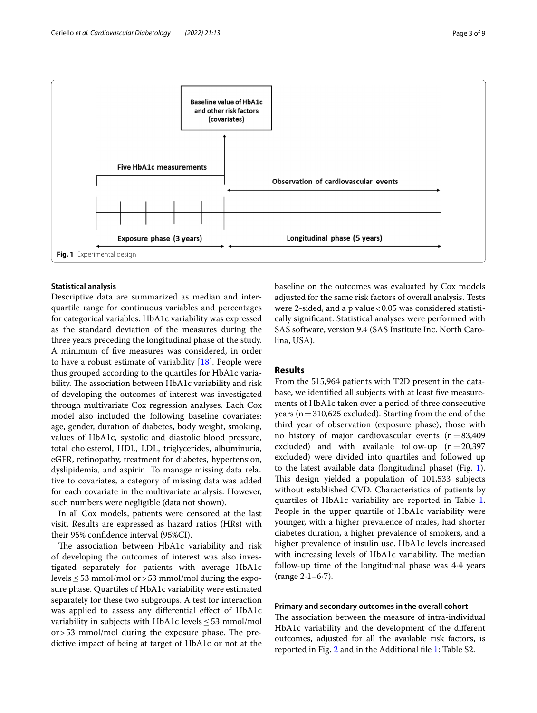

#### <span id="page-2-0"></span>**Statistical analysis**

Descriptive data are summarized as median and interquartile range for continuous variables and percentages for categorical variables. HbA1c variability was expressed as the standard deviation of the measures during the three years preceding the longitudinal phase of the study. A minimum of fve measures was considered, in order to have a robust estimate of variability [\[18](#page-8-5)]. People were thus grouped according to the quartiles for HbA1c variability. The association between HbA1c variability and risk of developing the outcomes of interest was investigated through multivariate Cox regression analyses. Each Cox model also included the following baseline covariates: age, gender, duration of diabetes, body weight, smoking, values of HbA1c, systolic and diastolic blood pressure, total cholesterol, HDL, LDL, triglycerides, albuminuria, eGFR, retinopathy, treatment for diabetes, hypertension, dyslipidemia, and aspirin. To manage missing data relative to covariates, a category of missing data was added for each covariate in the multivariate analysis. However, such numbers were negligible (data not shown).

In all Cox models, patients were censored at the last visit. Results are expressed as hazard ratios (HRs) with their 95% confdence interval (95%CI).

The association between HbA1c variability and risk of developing the outcomes of interest was also investigated separately for patients with average HbA1c levels  $\leq$  53 mmol/mol or > 53 mmol/mol during the exposure phase. Quartiles of HbA1c variability were estimated separately for these two subgroups. A test for interaction was applied to assess any differential effect of HbA1c variability in subjects with HbA1c levels  $\leq$  53 mmol/mol  $or > 53$  mmol/mol during the exposure phase. The predictive impact of being at target of HbA1c or not at the baseline on the outcomes was evaluated by Cox models adjusted for the same risk factors of overall analysis. Tests were 2-sided, and a p value <0.05 was considered statistically signifcant. Statistical analyses were performed with SAS software, version 9.4 (SAS Institute Inc. North Carolina, USA).

# **Results**

From the 515,964 patients with T2D present in the database, we identifed all subjects with at least fve measurements of HbA1c taken over a period of three consecutive years ( $n=310,625$  excluded). Starting from the end of the third year of observation (exposure phase), those with no history of major cardiovascular events  $(n=83,409)$ excluded) and with available follow-up  $(n=20,397)$ excluded) were divided into quartiles and followed up to the latest available data (longitudinal phase) (Fig. [1](#page-2-0)). This design yielded a population of 101,533 subjects without established CVD. Characteristics of patients by quartiles of HbA1c variability are reported in Table [1](#page-3-0). People in the upper quartile of HbA1c variability were younger, with a higher prevalence of males, had shorter diabetes duration, a higher prevalence of smokers, and a higher prevalence of insulin use. HbA1c levels increased with increasing levels of HbA1c variability. The median follow-up time of the longitudinal phase was 4·4 years (range 2·1–6·7).

### **Primary and secondary outcomes in the overall cohort**

The association between the measure of intra-individual HbA1c variability and the development of the diferent outcomes, adjusted for all the available risk factors, is reported in Fig. [2](#page-4-0) and in the Additional fle [1](#page-7-12): Table S2.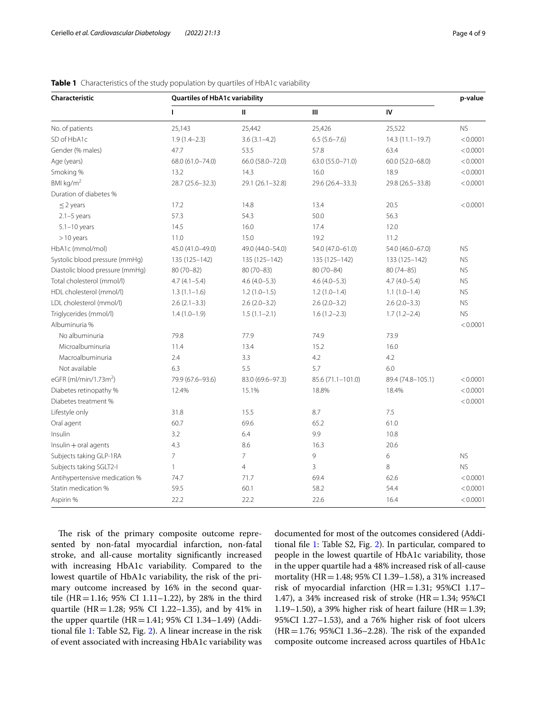| Characteristic                    | <b>Quartiles of HbA1c variability</b> |                  |                   |                   | p-value   |
|-----------------------------------|---------------------------------------|------------------|-------------------|-------------------|-----------|
|                                   | $\mathbf{I}$                          | $\mathbf{H}$     | Ш                 | IV                |           |
| No. of patients                   | 25,143                                | 25,442           | 25,426            | 25,522            | <b>NS</b> |
| SD of HbA1c                       | $1.9(1.4-2.3)$                        | $3.6(3.1 - 4.2)$ | $6.5(5.6 - 7.6)$  | 14.3 (11.1-19.7)  | < 0.0001  |
| Gender (% males)                  | 47.7                                  | 53.5             | 57.8              | 63.4              | < 0.0001  |
| Age (years)                       | 68.0 (61.0-74.0)                      | 66.0 (58.0-72.0) | 63.0 (55.0-71.0)  | 60.0 (52.0-68.0)  | < 0.0001  |
| Smoking %                         | 13.2                                  | 14.3             | 16.0              | 18.9              | < 0.0001  |
| BMI $kg/m2$                       | 28.7 (25.6-32.3)                      | 29.1 (26.1-32.8) | 29.6 (26.4-33.3)  | 29.8 (26.5-33.8)  | < 0.0001  |
| Duration of diabetes %            |                                       |                  |                   |                   |           |
| $\leq$ 2 years                    | 17.2                                  | 14.8             | 13.4              | 20.5              | < 0.0001  |
| $2.1 - 5$ years                   | 57.3                                  | 54.3             | 50.0              | 56.3              |           |
| $5.1 - 10$ years                  | 14.5                                  | 16.0             | 17.4              | 12.0              |           |
| $>10$ years                       | 11.0                                  | 15.0             | 19.2              | 11.2              |           |
| HbA1c (mmol/mol)                  | 45.0 (41.0-49.0)                      | 49.0 (44.0-54.0) | 54.0 (47.0-61.0)  | 54.0 (46.0-67.0)  | <b>NS</b> |
| Systolic blood pressure (mmHg)    | 135 (125-142)                         | 135 (125-142)    | 135 (125-142)     | 133 (125-142)     | <b>NS</b> |
| Diastolic blood pressure (mmHg)   | $80(70 - 82)$                         | $80(70 - 83)$    | 80 (70-84)        | $80(74 - 85)$     | <b>NS</b> |
| Total cholesterol (mmol/l)        | $4.7(4.1 - 5.4)$                      | $4.6(4.0-5.3)$   | $4.6(4.0-5.3)$    | $4.7(4.0 - 5.4)$  | <b>NS</b> |
| HDL cholesterol (mmol/l)          | $1.3(1.1-1.6)$                        | $1.2(1.0-1.5)$   | $1.2(1.0-1.4)$    | $1.1(1.0-1.4)$    | <b>NS</b> |
| LDL cholesterol (mmol/l)          | $2.6(2.1-3.3)$                        | $2.6(2.0-3.2)$   | $2.6(2.0-3.2)$    | $2.6(2.0-3.3)$    | <b>NS</b> |
| Triglycerides (mmol/l)            | $1.4(1.0-1.9)$                        | $1.5(1.1-2.1)$   | $1.6(1.2 - 2.3)$  | $1.7(1.2 - 2.4)$  | <b>NS</b> |
| Albuminuria %                     |                                       |                  |                   |                   | < 0.0001  |
| No albuminuria                    | 79.8                                  | 77.9             | 74.9              | 73.9              |           |
| Microalbuminuria                  | 11.4                                  | 13.4             | 15.2              | 16.0              |           |
| Macroalbuminuria                  | 2.4                                   | 3.3              | 4.2               | 4.2               |           |
| Not available                     | 6.3                                   | 5.5              | 5.7               | 6.0               |           |
| eGFR (ml/min/1.73m <sup>2</sup> ) | 79.9 (67.6-93.6)                      | 83.0 (69.6-97.3) | 85.6 (71.1-101.0) | 89.4 (74.8-105.1) | < 0.0001  |
| Diabetes retinopathy %            | 12.4%                                 | 15.1%            | 18.8%             | 18.4%             | < 0.0001  |
| Diabetes treatment %              |                                       |                  |                   |                   | < 0.0001  |
| Lifestyle only                    | 31.8                                  | 15.5             | 8.7               | 7.5               |           |
| Oral agent                        | 60.7                                  | 69.6             | 65.2              | 61.0              |           |
| Insulin                           | 3.2                                   | 6.4              | 9.9               | 10.8              |           |
| $Insulin + oral agents$           | 4.3                                   | 8.6              | 16.3              | 20.6              |           |
| Subjects taking GLP-1RA           | $\overline{7}$                        | $\overline{7}$   | 9                 | 6                 | <b>NS</b> |
| Subjects taking SGLT2-I           | $\mathbf{1}$                          | $\overline{4}$   | 3                 | 8                 | <b>NS</b> |
| Antihypertensive medication %     | 74.7                                  | 71.7             | 69.4              | 62.6              | < 0.0001  |
| Statin medication %               | 59.5                                  | 60.1             | 58.2              | 54.4              | < 0.0001  |
| Aspirin %                         | 22.2                                  | 22.2             | 22.6              | 16.4              | < 0.0001  |

# <span id="page-3-0"></span>**Table 1** Characteristics of the study population by quartiles of HbA1c variability

The risk of the primary composite outcome represented by non-fatal myocardial infarction, non-fatal stroke, and all-cause mortality signifcantly increased with increasing HbA1c variability. Compared to the lowest quartile of HbA1c variability, the risk of the primary outcome increased by 16% in the second quartile (HR=1.16; 95% CI 1.11–1.22), by 28% in the third quartile (HR=1.28; 95% CI 1.22–1.35), and by 41% in the upper quartile (HR = 1.41; 95% CI 1.34–1.49) (Additional fle [1:](#page-7-12) Table S2, Fig. [2](#page-4-0)). A linear increase in the risk of event associated with increasing HbA1c variability was

documented for most of the outcomes considered (Additional fle [1:](#page-7-12) Table S2, Fig. [2\)](#page-4-0). In particular, compared to people in the lowest quartile of HbA1c variability, those in the upper quartile had a 48% increased risk of all-cause mortality (HR=1.48; 95% CI 1.39–1.58), a 31% increased risk of myocardial infarction (HR=1.31; 95%CI 1.17– 1.47), a 34% increased risk of stroke (HR=1.34;  $95\%$ CI 1.19–1.50), a 39% higher risk of heart failure (HR=1.39; 95%CI 1.27–1.53), and a 76% higher risk of foot ulcers  $(HR=1.76; 95\% CI 1.36-2.28)$ . The risk of the expanded composite outcome increased across quartiles of HbA1c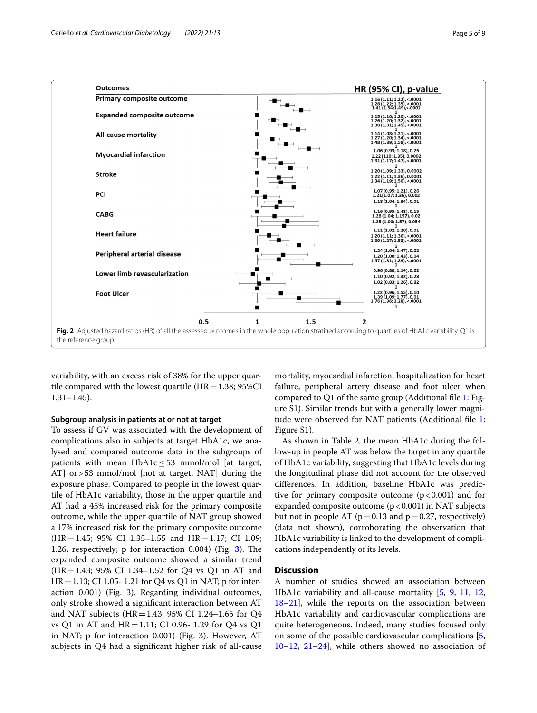

<span id="page-4-0"></span>variability, with an excess risk of 38% for the upper quartile compared with the lowest quartile  $(HR=1.38; 95\%CI$ 1.31–1.45).

#### **Subgroup analysis in patients at or not at target**

To assess if GV was associated with the development of complications also in subjects at target HbA1c, we analysed and compared outcome data in the subgroups of patients with mean HbA1c  $\leq$  53 mmol/mol [at target, AT] or>53 mmol/mol [not at target, NAT] during the exposure phase. Compared to people in the lowest quartile of HbA1c variability, those in the upper quartile and AT had a 45% increased risk for the primary composite outcome, while the upper quartile of NAT group showed a 17% increased risk for the primary composite outcome  $(HR=1.45; 95\% \text{ CI } 1.35-1.55 \text{ and } HR=1.17; \text{ CI } 1.09;$ 1.26, respectively; p for interaction 0.004) (Fig. [3](#page-5-0)). The expanded composite outcome showed a similar trend (HR=1.43; 95% CI 1.34–1.52 for Q4 vs Q1 in AT and  $HR = 1.13$ ; CI 1.05- 1.21 for Q4 vs Q1 in NAT; p for interaction 0.001) (Fig. [3](#page-5-0)). Regarding individual outcomes, only stroke showed a signifcant interaction between AT and NAT subjects (HR=1.43; 95% CI 1.24–1.65 for Q4 vs Q1 in AT and HR=1.11; CI 0.96- 1.29 for Q4 vs Q1 in NAT; p for interaction 0.001) (Fig. [3\)](#page-5-0). However, AT subjects in Q4 had a signifcant higher risk of all-cause

mortality, myocardial infarction, hospitalization for heart failure, peripheral artery disease and foot ulcer when compared to Q1 of the same group (Additional fle [1](#page-7-12): Figure S1). Similar trends but with a generally lower magnitude were observed for NAT patients (Additional fle [1](#page-7-12): Figure S1).

As shown in Table [2](#page-6-0), the mean HbA1c during the follow-up in people AT was below the target in any quartile of HbA1c variability, suggesting that HbA1c levels during the longitudinal phase did not account for the observed diferences. In addition, baseline HbA1c was predictive for primary composite outcome  $(p < 0.001)$  and for expanded composite outcome  $(p < 0.001)$  in NAT subjects but not in people AT ( $p=0.13$  and  $p=0.27$ , respectively) (data not shown), corroborating the observation that HbA1c variability is linked to the development of complications independently of its levels.

# **Discussion**

A number of studies showed an association between HbA1c variability and all-cause mortality [[5](#page-7-4), [9,](#page-7-8) [11](#page-7-10), [12](#page-7-11), [18](#page-8-5)[–21](#page-8-6)], while the reports on the association between HbA1c variability and cardiovascular complications are quite heterogeneous. Indeed, many studies focused only on some of the possible cardiovascular complications [\[5](#page-7-4), [10](#page-7-9)[–12](#page-7-11), [21–](#page-8-6)[24\]](#page-8-7), while others showed no association of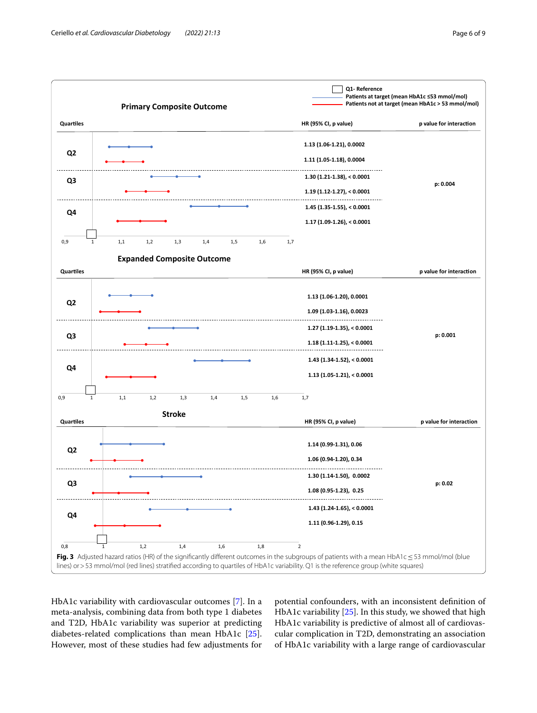

<span id="page-5-0"></span>HbA1c variability with cardiovascular outcomes [\[7](#page-7-6)]. In a meta-analysis, combining data from both type 1 diabetes and T2D, HbA1c variability was superior at predicting diabetes-related complications than mean HbA1c [\[25](#page-8-8)]. However, most of these studies had few adjustments for

potential confounders, with an inconsistent defnition of HbA1c variability [\[25](#page-8-8)]. In this study, we showed that high HbA1c variability is predictive of almost all of cardiovascular complication in T2D, demonstrating an association of HbA1c variability with a large range of cardiovascular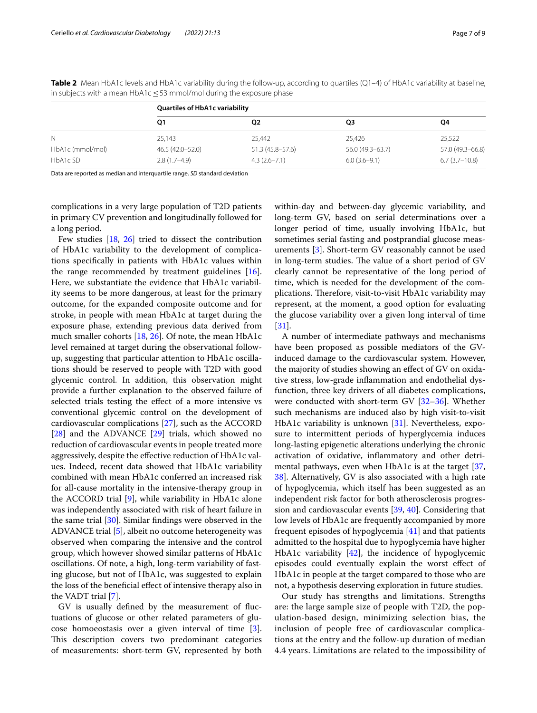|                  | <b>Quartiles of HbA1c variability</b> |                     |                  |                  |  |  |
|------------------|---------------------------------------|---------------------|------------------|------------------|--|--|
|                  | Q1                                    | Q2                  | Q3               | Q4               |  |  |
|                  | 25,143                                | 25,442              | 25,426           | 25,522           |  |  |
| HbA1c (mmol/mol) | 46.5 (42.0-52.0)                      | $51.3(45.8 - 57.6)$ | 56.0 (49.3–63.7) | 57.0 (49.3-66.8) |  |  |
| HbA1c SD         | $2.8(1.7-4.9)$                        | $4.3(2.6 - 7.1)$    | $6.0(3.6-9.1)$   | $6.7(3.7-10.8)$  |  |  |

<span id="page-6-0"></span>**Table 2** Mean HbA1c levels and HbA1c variability during the follow-up, according to quartiles (Q1-4) of HbA1c variability at baseline, in subjects with a mean HbA1c≤53 mmol/mol during the exposure phase

Data are reported as median and interquartile range. *SD* standard deviation

complications in a very large population of T2D patients in primary CV prevention and longitudinally followed for a long period.

Few studies [[18,](#page-8-5) [26\]](#page-8-9) tried to dissect the contribution of HbA1c variability to the development of complications specifcally in patients with HbA1c values within the range recommended by treatment guidelines [\[16](#page-8-3)]. Here, we substantiate the evidence that HbA1c variability seems to be more dangerous, at least for the primary outcome, for the expanded composite outcome and for stroke, in people with mean HbA1c at target during the exposure phase, extending previous data derived from much smaller cohorts [[18,](#page-8-5) [26](#page-8-9)]. Of note, the mean HbA1c level remained at target during the observational followup, suggesting that particular attention to HbA1c oscillations should be reserved to people with T2D with good glycemic control. In addition, this observation might provide a further explanation to the observed failure of selected trials testing the efect of a more intensive vs conventional glycemic control on the development of cardiovascular complications [\[27](#page-8-10)], such as the ACCORD [[28\]](#page-8-11) and the ADVANCE [[29\]](#page-8-12) trials, which showed no reduction of cardiovascular events in people treated more aggressively, despite the efective reduction of HbA1c values. Indeed, recent data showed that HbA1c variability combined with mean HbA1c conferred an increased risk for all-cause mortality in the intensive-therapy group in the ACCORD trial [\[9](#page-7-8)], while variability in HbA1c alone was independently associated with risk of heart failure in the same trial [[30\]](#page-8-13). Similar fndings were observed in the ADVANCE trial [[5\]](#page-7-4), albeit no outcome heterogeneity was observed when comparing the intensive and the control group, which however showed similar patterns of HbA1c oscillations. Of note, a high, long-term variability of fasting glucose, but not of HbA1c, was suggested to explain the loss of the benefcial efect of intensive therapy also in the VADT trial [\[7](#page-7-6)].

GV is usually defned by the measurement of fuctuations of glucose or other related parameters of glucose homoeostasis over a given interval of time [\[3](#page-7-2)]. This description covers two predominant categories of measurements: short-term GV, represented by both within-day and between-day glycemic variability, and long-term GV, based on serial determinations over a longer period of time, usually involving HbA1c, but sometimes serial fasting and postprandial glucose measurements [[3](#page-7-2)]. Short-term GV reasonably cannot be used in long-term studies. The value of a short period of GV clearly cannot be representative of the long period of time, which is needed for the development of the complications. Therefore, visit-to-visit HbA1c variability may represent, at the moment, a good option for evaluating the glucose variability over a given long interval of time [[31\]](#page-8-14).

A number of intermediate pathways and mechanisms have been proposed as possible mediators of the GVinduced damage to the cardiovascular system. However, the majority of studies showing an efect of GV on oxidative stress, low-grade infammation and endothelial dysfunction, three key drivers of all diabetes complications, were conducted with short-term GV [[32–](#page-8-15)[36\]](#page-8-16). Whether such mechanisms are induced also by high visit-to-visit HbA1c variability is unknown [[31](#page-8-14)]. Nevertheless, exposure to intermittent periods of hyperglycemia induces long-lasting epigenetic alterations underlying the chronic activation of oxidative, infammatory and other detrimental pathways, even when HbA1c is at the target [[37](#page-8-17), [38\]](#page-8-18). Alternatively, GV is also associated with a high rate of hypoglycemia, which itself has been suggested as an independent risk factor for both atherosclerosis progression and cardiovascular events [[39,](#page-8-19) [40](#page-8-20)]. Considering that low levels of HbA1c are frequently accompanied by more frequent episodes of hypoglycemia [\[41](#page-8-21)] and that patients admitted to the hospital due to hypoglycemia have higher HbA1c variability  $[42]$  $[42]$ , the incidence of hypoglycemic episodes could eventually explain the worst efect of HbA1c in people at the target compared to those who are not, a hypothesis deserving exploration in future studies.

Our study has strengths and limitations. Strengths are: the large sample size of people with T2D, the population-based design, minimizing selection bias, the inclusion of people free of cardiovascular complications at the entry and the follow-up duration of median 4.4 years. Limitations are related to the impossibility of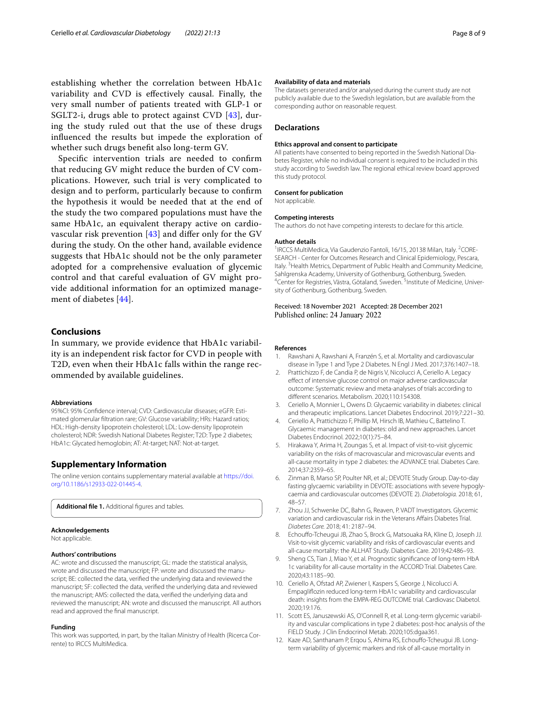establishing whether the correlation between HbA1c variability and CVD is efectively causal. Finally, the very small number of patients treated with GLP-1 or SGLT2-i, drugs able to protect against CVD [\[43](#page-8-23)], during the study ruled out that the use of these drugs infuenced the results but impede the exploration of whether such drugs beneft also long-term GV.

Specifc intervention trials are needed to confrm that reducing GV might reduce the burden of CV complications. However, such trial is very complicated to design and to perform, particularly because to confrm the hypothesis it would be needed that at the end of the study the two compared populations must have the same HbA1c, an equivalent therapy active on cardiovascular risk prevention [[43\]](#page-8-23) and difer only for the GV during the study. On the other hand, available evidence suggests that HbA1c should not be the only parameter adopted for a comprehensive evaluation of glycemic control and that careful evaluation of GV might provide additional information for an optimized management of diabetes [\[44](#page-8-24)].

## **Conclusions**

In summary, we provide evidence that HbA1c variability is an independent risk factor for CVD in people with T2D, even when their HbA1c falls within the range recommended by available guidelines.

#### **Abbreviations**

95%CI: 95% Confidence interval; CVD: Cardiovascular diseases; eGFR: Estimated glomerular fltration rare; GV: Glucose variability; HRs: Hazard ratios; HDL: High-density lipoprotein cholesterol; LDL: Low-density lipoprotein cholesterol; NDR: Swedish National Diabetes Register; T2D: Type 2 diabetes; HbA1c: Glycated hemoglobin; AT: At-target; NAT: Not-at-target.

#### **Supplementary Information**

The online version contains supplementary material available at [https://doi.](https://doi.org/10.1186/s12933-022-01445-4) [org/10.1186/s12933-022-01445-4](https://doi.org/10.1186/s12933-022-01445-4).

<span id="page-7-12"></span>Additional file 1. Additional figures and tables.

#### **Acknowledgements**

Not applicable.

#### **Authors' contributions**

AC: wrote and discussed the manuscript; GL: made the statistical analysis, wrote and discussed the manuscript; FP: wrote and discussed the manuscript; BE: collected the data, verifed the underlying data and reviewed the manuscript; SF: collected the data, verifed the underlying data and reviewed the manuscript; AMS: collected the data, verifed the underlying data and reviewed the manuscript; AN: wrote and discussed the manuscript. All authors read and approved the fnal manuscript.

#### **Funding**

This work was supported, in part, by the Italian Ministry of Health (Ricerca Cor‑ rente) to IRCCS MultiMedica.

#### **Availability of data and materials**

The datasets generated and/or analysed during the current study are not publicly available due to the Swedish legislation, but are available from the corresponding author on reasonable request.

#### **Declarations**

#### **Ethics approval and consent to participate**

All patients have consented to being reported in the Swedish National Diabetes Register, while no individual consent is required to be included in this study according to Swedish law. The regional ethical review board approved this study protocol.

#### **Consent for publication**

Not applicable.

#### **Competing interests**

The authors do not have competing interests to declare for this article.

#### **Author details**

<sup>1</sup> IRCCS MultiMedica, Via Gaudenzio Fantoli, 16/15, 20138 Milan, Italy. <sup>2</sup>CORE-SEARCH - Center for Outcomes Research and Clinical Epidemiology, Pescara, Italy. <sup>3</sup> Health Metrics, Department of Public Health and Community Medicine, Sahlgrenska Academy, University of Gothenburg, Gothenburg, Sweden. 4 Center for Registries, Västra, Götaland, Sweden. <sup>5</sup>Institute of Medicine, University of Gothenburg, Gothenburg, Sweden.

#### Received: 18 November 2021 Accepted: 28 December 2021 Published online: 24 January 2022

#### **References**

- <span id="page-7-0"></span>Rawshani A, Rawshani A, Franzén S, et al. Mortality and cardiovascular disease in Type 1 and Type 2 Diabetes. N Engl J Med. 2017;376:1407–18.
- <span id="page-7-1"></span>2. Prattichizzo F, de Candia P, de Nigris V, Nicolucci A, Ceriello A. Legacy efect of intensive glucose control on major adverse cardiovascular outcome: Systematic review and meta-analyses of trials according to diferent scenarios. Metabolism. 2020;110:154308.
- <span id="page-7-2"></span>3. Ceriello A, Monnier L, Owens D. Glycaemic variability in diabetes: clinical and therapeutic implications. Lancet Diabetes Endocrinol. 2019;7:221–30.
- <span id="page-7-3"></span>4. Ceriello A, Prattichizzo F, Phillip M, Hirsch IB, Mathieu C, Battelino T. Glycaemic management in diabetes: old and new approaches. Lancet Diabetes Endocrinol. 2022;10(1):75–84.
- <span id="page-7-4"></span>5. Hirakawa Y, Arima H, Zoungas S, et al. Impact of visit-to-visit glycemic variability on the risks of macrovascular and microvascular events and all-cause mortality in type 2 diabetes: the ADVANCE trial. Diabetes Care. 2014;37:2359–65.
- <span id="page-7-5"></span>6. Zinman B, Marso SP, Poulter NR, et al.; DEVOTE Study Group. Day-to-day fasting glycaemic variability in DEVOTE: associations with severe hypoglycaemia and cardiovascular outcomes (DEVOTE 2). *Diabetologia.* 2018; 61, 48–57.
- <span id="page-7-6"></span>7. Zhou JJ, Schwenke DC, Bahn G, Reaven, P. VADT Investigators. Glycemic variation and cardiovascular risk in the Veterans Afairs Diabetes Trial. *Diabetes Care.* 2018; 41: 2187–94.
- <span id="page-7-7"></span>8. Echouffo-Tcheugui JB, Zhao S, Brock G, Matsouaka RA, Kline D, Joseph JJ. Visit-to-visit glycemic variability and risks of cardiovascular events and all-cause mortality: the ALLHAT Study. Diabetes Care. 2019;42:486–93.
- <span id="page-7-8"></span>9. Sheng CS, Tian J, Miao Y, et al. Prognostic signifcance of long-term HbA 1c variability for all-cause mortality in the ACCORD Trial. Diabetes Care. 2020;43:1185–90.
- <span id="page-7-9"></span>10. Ceriello A, Ofstad AP, Zwiener I, Kaspers S, George J, Nicolucci A. Empaglifozin reduced long-term HbA1c variability and cardiovascular death: insights from the EMPA-REG OUTCOME trial. Cardiovasc Diabetol. 2020;19:176.
- <span id="page-7-10"></span>11. Scott ES, Januszewski AS, O'Connell R, et al. Long-term glycemic variability and vascular complications in type 2 diabetes: post-hoc analysis of the FIELD Study. J Clin Endocrinol Metab. 2020;105:dgaa361.
- <span id="page-7-11"></span>12. Kaze AD, Santhanam P, Erqou S, Ahima RS, Echoufo-Tcheugui JB. Longterm variability of glycemic markers and risk of all-cause mortality in